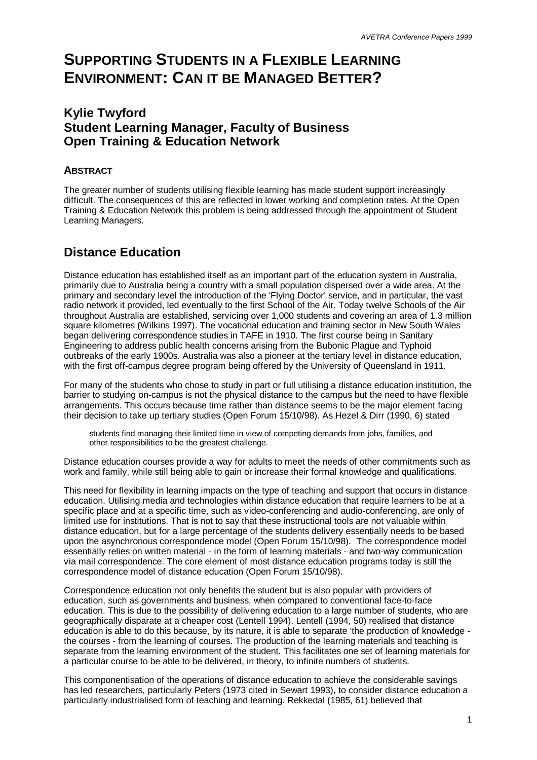# **SUPPORTING STUDENTS IN A FLEXIBLE LEARNING ENVIRONMENT: CAN IT BE MANAGED BETTER?**

#### **Kylie Twyford Student Learning Manager, Faculty of Business Open Training & Education Network**

#### **ABSTRACT**

The greater number of students utilising flexible learning has made student support increasingly difficult. The consequences of this are reflected in lower working and completion rates. At the Open Training & Education Network this problem is being addressed through the appointment of Student Learning Managers.

## **Distance Education**

Distance education has established itself as an important part of the education system in Australia, primarily due to Australia being a country with a small population dispersed over a wide area. At the primary and secondary level the introduction of the 'Flying Doctor' service, and in particular, the vast radio network it provided, led eventually to the first School of the Air. Today twelve Schools of the Air throughout Australia are established, servicing over 1,000 students and covering an area of 1.3 million square kilometres (Wilkins 1997). The vocational education and training sector in New South Wales began delivering correspondence studies in TAFE in 1910. The first course being in Sanitary Engineering to address public health concerns arising from the Bubonic Plague and Typhoid outbreaks of the early 1900s. Australia was also a pioneer at the tertiary level in distance education, with the first off-campus degree program being offered by the University of Queensland in 1911.

For many of the students who chose to study in part or full utilising a distance education institution, the barrier to studying on-campus is not the physical distance to the campus but the need to have flexible arrangements. This occurs because time rather than distance seems to be the major element facing their decision to take up tertiary studies (Open Forum 15/10/98). As Hezel & Dirr (1990, 6) stated

students find managing their limited time in view of competing demands from jobs, families, and other responsibilities to be the greatest challenge.

Distance education courses provide a way for adults to meet the needs of other commitments such as work and family, while still being able to gain or increase their formal knowledge and qualifications.

This need for flexibility in learning impacts on the type of teaching and support that occurs in distance education. Utilising media and technologies within distance education that require learners to be at a specific place and at a specific time, such as video-conferencing and audio-conferencing, are only of limited use for institutions. That is not to say that these instructional tools are not valuable within distance education, but for a large percentage of the students delivery essentially needs to be based upon the asynchronous correspondence model (Open Forum 15/10/98). The correspondence model essentially relies on written material - in the form of learning materials - and two-way communication via mail correspondence. The core element of most distance education programs today is still the correspondence model of distance education (Open Forum 15/10/98).

Correspondence education not only benefits the student but is also popular with providers of education, such as governments and business, when compared to conventional face-to-face education. This is due to the possibility of delivering education to a large number of students, who are geographically disparate at a cheaper cost (Lentell 1994). Lentell (1994, 50) realised that distance education is able to do this because, by its nature, it is able to separate 'the production of knowledge the courses - from the learning of courses. The production of the learning materials and teaching is separate from the learning environment of the student. This facilitates one set of learning materials for a particular course to be able to be delivered, in theory, to infinite numbers of students.

This componentisation of the operations of distance education to achieve the considerable savings has led researchers, particularly Peters (1973 cited in Sewart 1993), to consider distance education a particularly industrialised form of teaching and learning. Rekkedal (1985, 61) believed that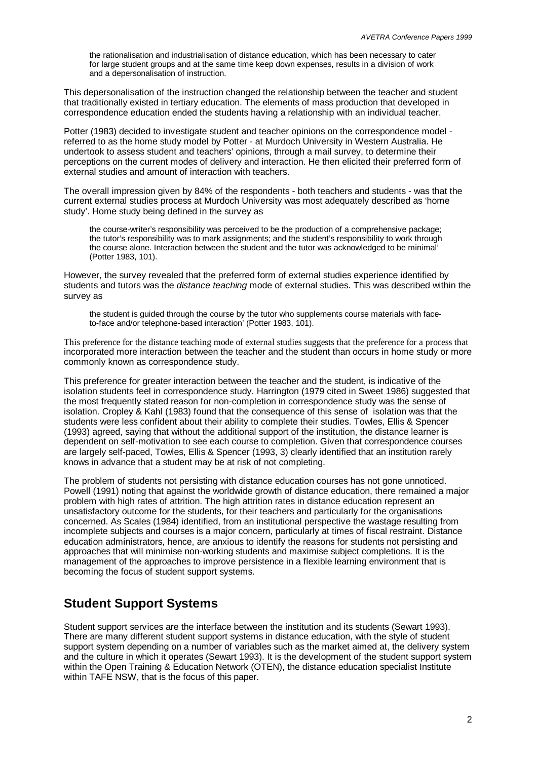the rationalisation and industrialisation of distance education, which has been necessary to cater for large student groups and at the same time keep down expenses, results in a division of work and a depersonalisation of instruction.

This depersonalisation of the instruction changed the relationship between the teacher and student that traditionally existed in tertiary education. The elements of mass production that developed in correspondence education ended the students having a relationship with an individual teacher.

Potter (1983) decided to investigate student and teacher opinions on the correspondence model referred to as the home study model by Potter - at Murdoch University in Western Australia. He undertook to assess student and teachers' opinions, through a mail survey, to determine their perceptions on the current modes of delivery and interaction. He then elicited their preferred form of external studies and amount of interaction with teachers.

The overall impression given by 84% of the respondents - both teachers and students - was that the current external studies process at Murdoch University was most adequately described as 'home study'. Home study being defined in the survey as

the course-writer's responsibility was perceived to be the production of a comprehensive package; the tutor's responsibility was to mark assignments; and the student's responsibility to work through the course alone. Interaction between the student and the tutor was acknowledged to be minimal' (Potter 1983, 101).

However, the survey revealed that the preferred form of external studies experience identified by students and tutors was the *distance teaching* mode of external studies. This was described within the survey as

the student is guided through the course by the tutor who supplements course materials with faceto-face and/or telephone-based interaction' (Potter 1983, 101).

This preference for the distance teaching mode of external studies suggests that the preference for a process that incorporated more interaction between the teacher and the student than occurs in home study or more commonly known as correspondence study.

This preference for greater interaction between the teacher and the student, is indicative of the isolation students feel in correspondence study. Harrington (1979 cited in Sweet 1986) suggested that the most frequently stated reason for non-completion in correspondence study was the sense of isolation. Cropley & Kahl (1983) found that the consequence of this sense of isolation was that the students were less confident about their ability to complete their studies. Towles, Ellis & Spencer (1993) agreed, saying that without the additional support of the institution, the distance learner is dependent on self-motivation to see each course to completion. Given that correspondence courses are largely self-paced, Towles, Ellis & Spencer (1993, 3) clearly identified that an institution rarely knows in advance that a student may be at risk of not completing.

The problem of students not persisting with distance education courses has not gone unnoticed. Powell (1991) noting that against the worldwide growth of distance education, there remained a major problem with high rates of attrition. The high attrition rates in distance education represent an unsatisfactory outcome for the students, for their teachers and particularly for the organisations concerned. As Scales (1984) identified, from an institutional perspective the wastage resulting from incomplete subjects and courses is a major concern, particularly at times of fiscal restraint. Distance education administrators, hence, are anxious to identify the reasons for students not persisting and approaches that will minimise non-working students and maximise subject completions. It is the management of the approaches to improve persistence in a flexible learning environment that is becoming the focus of student support systems.

## **Student Support Systems**

Student support services are the interface between the institution and its students (Sewart 1993). There are many different student support systems in distance education, with the style of student support system depending on a number of variables such as the market aimed at, the delivery system and the culture in which it operates (Sewart 1993). It is the development of the student support system within the Open Training & Education Network (OTEN), the distance education specialist Institute within TAFE NSW, that is the focus of this paper.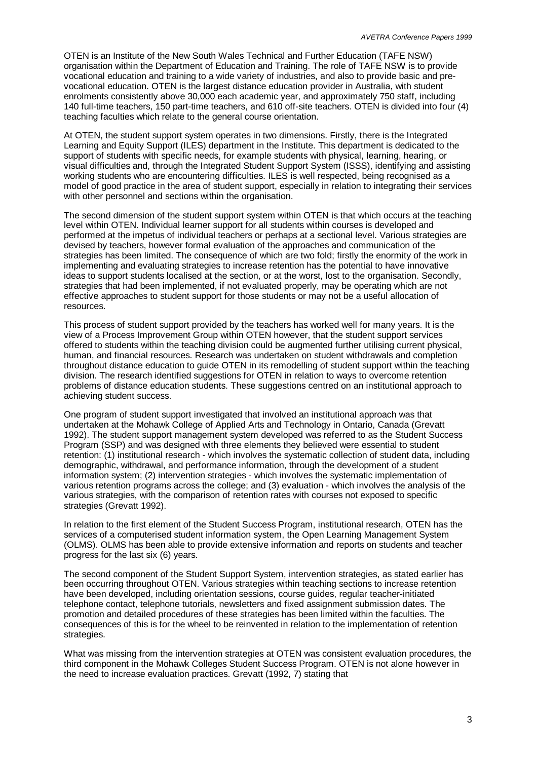OTEN is an Institute of the New South Wales Technical and Further Education (TAFE NSW) organisation within the Department of Education and Training. The role of TAFE NSW is to provide vocational education and training to a wide variety of industries, and also to provide basic and prevocational education. OTEN is the largest distance education provider in Australia, with student enrolments consistently above 30,000 each academic year, and approximately 750 staff, including 140 full-time teachers, 150 part-time teachers, and 610 off-site teachers. OTEN is divided into four (4) teaching faculties which relate to the general course orientation.

At OTEN, the student support system operates in two dimensions. Firstly, there is the Integrated Learning and Equity Support (ILES) department in the Institute. This department is dedicated to the support of students with specific needs, for example students with physical, learning, hearing, or visual difficulties and, through the Integrated Student Support System (ISSS), identifying and assisting working students who are encountering difficulties. ILES is well respected, being recognised as a model of good practice in the area of student support, especially in relation to integrating their services with other personnel and sections within the organisation.

The second dimension of the student support system within OTEN is that which occurs at the teaching level within OTEN. Individual learner support for all students within courses is developed and performed at the impetus of individual teachers or perhaps at a sectional level. Various strategies are devised by teachers, however formal evaluation of the approaches and communication of the strategies has been limited. The consequence of which are two fold; firstly the enormity of the work in implementing and evaluating strategies to increase retention has the potential to have innovative ideas to support students localised at the section, or at the worst, lost to the organisation. Secondly, strategies that had been implemented, if not evaluated properly, may be operating which are not effective approaches to student support for those students or may not be a useful allocation of resources.

This process of student support provided by the teachers has worked well for many years. It is the view of a Process Improvement Group within OTEN however, that the student support services offered to students within the teaching division could be augmented further utilising current physical, human, and financial resources. Research was undertaken on student withdrawals and completion throughout distance education to guide OTEN in its remodelling of student support within the teaching division. The research identified suggestions for OTEN in relation to ways to overcome retention problems of distance education students. These suggestions centred on an institutional approach to achieving student success.

One program of student support investigated that involved an institutional approach was that undertaken at the Mohawk College of Applied Arts and Technology in Ontario, Canada (Grevatt 1992). The student support management system developed was referred to as the Student Success Program (SSP) and was designed with three elements they believed were essential to student retention: (1) institutional research - which involves the systematic collection of student data, including demographic, withdrawal, and performance information, through the development of a student information system; (2) intervention strategies - which involves the systematic implementation of various retention programs across the college; and (3) evaluation - which involves the analysis of the various strategies, with the comparison of retention rates with courses not exposed to specific strategies (Grevatt 1992).

In relation to the first element of the Student Success Program, institutional research, OTEN has the services of a computerised student information system, the Open Learning Management System (OLMS). OLMS has been able to provide extensive information and reports on students and teacher progress for the last six (6) years.

The second component of the Student Support System, intervention strategies, as stated earlier has been occurring throughout OTEN. Various strategies within teaching sections to increase retention have been developed, including orientation sessions, course guides, regular teacher-initiated telephone contact, telephone tutorials, newsletters and fixed assignment submission dates. The promotion and detailed procedures of these strategies has been limited within the faculties. The consequences of this is for the wheel to be reinvented in relation to the implementation of retention strategies.

What was missing from the intervention strategies at OTEN was consistent evaluation procedures, the third component in the Mohawk Colleges Student Success Program. OTEN is not alone however in the need to increase evaluation practices. Grevatt (1992, 7) stating that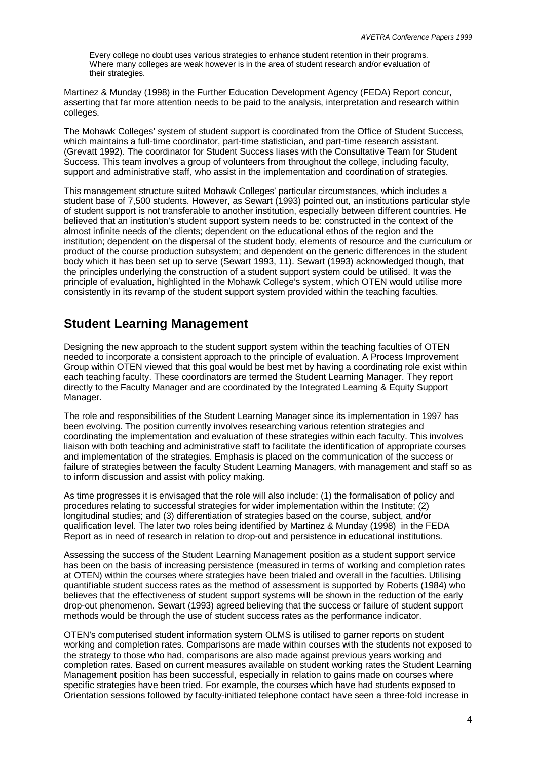Every college no doubt uses various strategies to enhance student retention in their programs. Where many colleges are weak however is in the area of student research and/or evaluation of their strategies.

Martinez & Munday (1998) in the Further Education Development Agency (FEDA) Report concur, asserting that far more attention needs to be paid to the analysis, interpretation and research within colleges.

The Mohawk Colleges' system of student support is coordinated from the Office of Student Success, which maintains a full-time coordinator, part-time statistician, and part-time research assistant. (Grevatt 1992). The coordinator for Student Success liases with the Consultative Team for Student Success. This team involves a group of volunteers from throughout the college, including faculty, support and administrative staff, who assist in the implementation and coordination of strategies.

This management structure suited Mohawk Colleges' particular circumstances, which includes a student base of 7,500 students. However, as Sewart (1993) pointed out, an institutions particular style of student support is not transferable to another institution, especially between different countries. He believed that an institution's student support system needs to be: constructed in the context of the almost infinite needs of the clients; dependent on the educational ethos of the region and the institution; dependent on the dispersal of the student body, elements of resource and the curriculum or product of the course production subsystem; and dependent on the generic differences in the student body which it has been set up to serve (Sewart 1993, 11). Sewart (1993) acknowledged though, that the principles underlying the construction of a student support system could be utilised. It was the principle of evaluation, highlighted in the Mohawk College's system, which OTEN would utilise more consistently in its revamp of the student support system provided within the teaching faculties.

## **Student Learning Management**

Designing the new approach to the student support system within the teaching faculties of OTEN needed to incorporate a consistent approach to the principle of evaluation. A Process Improvement Group within OTEN viewed that this goal would be best met by having a coordinating role exist within each teaching faculty. These coordinators are termed the Student Learning Manager. They report directly to the Faculty Manager and are coordinated by the Integrated Learning & Equity Support Manager.

The role and responsibilities of the Student Learning Manager since its implementation in 1997 has been evolving. The position currently involves researching various retention strategies and coordinating the implementation and evaluation of these strategies within each faculty. This involves liaison with both teaching and administrative staff to facilitate the identification of appropriate courses and implementation of the strategies. Emphasis is placed on the communication of the success or failure of strategies between the faculty Student Learning Managers, with management and staff so as to inform discussion and assist with policy making.

As time progresses it is envisaged that the role will also include: (1) the formalisation of policy and procedures relating to successful strategies for wider implementation within the Institute; (2) longitudinal studies; and (3) differentiation of strategies based on the course, subject, and/or qualification level. The later two roles being identified by Martinez & Munday (1998) in the FEDA Report as in need of research in relation to drop-out and persistence in educational institutions.

Assessing the success of the Student Learning Management position as a student support service has been on the basis of increasing persistence (measured in terms of working and completion rates at OTEN) within the courses where strategies have been trialed and overall in the faculties. Utilising quantifiable student success rates as the method of assessment is supported by Roberts (1984) who believes that the effectiveness of student support systems will be shown in the reduction of the early drop-out phenomenon. Sewart (1993) agreed believing that the success or failure of student support methods would be through the use of student success rates as the performance indicator.

OTEN's computerised student information system OLMS is utilised to garner reports on student working and completion rates. Comparisons are made within courses with the students not exposed to the strategy to those who had, comparisons are also made against previous years working and completion rates. Based on current measures available on student working rates the Student Learning Management position has been successful, especially in relation to gains made on courses where specific strategies have been tried. For example, the courses which have had students exposed to Orientation sessions followed by faculty-initiated telephone contact have seen a three-fold increase in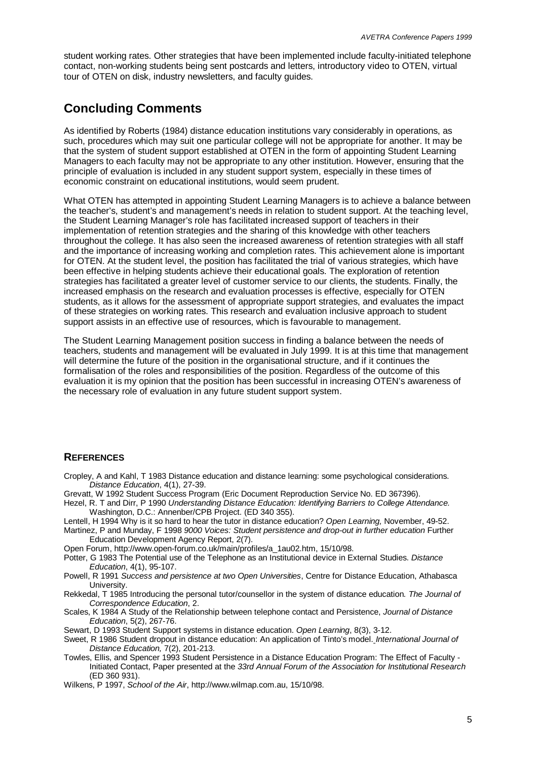student working rates. Other strategies that have been implemented include faculty-initiated telephone contact, non-working students being sent postcards and letters, introductory video to OTEN, virtual tour of OTEN on disk, industry newsletters, and faculty guides.

#### **Concluding Comments**

As identified by Roberts (1984) distance education institutions vary considerably in operations, as such, procedures which may suit one particular college will not be appropriate for another. It may be that the system of student support established at OTEN in the form of appointing Student Learning Managers to each faculty may not be appropriate to any other institution. However, ensuring that the principle of evaluation is included in any student support system, especially in these times of economic constraint on educational institutions, would seem prudent.

What OTEN has attempted in appointing Student Learning Managers is to achieve a balance between the teacher's, student's and management's needs in relation to student support. At the teaching level, the Student Learning Manager's role has facilitated increased support of teachers in their implementation of retention strategies and the sharing of this knowledge with other teachers throughout the college. It has also seen the increased awareness of retention strategies with all staff and the importance of increasing working and completion rates. This achievement alone is important for OTEN. At the student level, the position has facilitated the trial of various strategies, which have been effective in helping students achieve their educational goals. The exploration of retention strategies has facilitated a greater level of customer service to our clients, the students. Finally, the increased emphasis on the research and evaluation processes is effective, especially for OTEN students, as it allows for the assessment of appropriate support strategies, and evaluates the impact of these strategies on working rates. This research and evaluation inclusive approach to student support assists in an effective use of resources, which is favourable to management.

The Student Learning Management position success in finding a balance between the needs of teachers, students and management will be evaluated in July 1999. It is at this time that management will determine the future of the position in the organisational structure, and if it continues the formalisation of the roles and responsibilities of the position. Regardless of the outcome of this evaluation it is my opinion that the position has been successful in increasing OTEN's awareness of the necessary role of evaluation in any future student support system.

#### **REFERENCES**

- Cropley, A and Kahl, T 1983 Distance education and distance learning: some psychological considerations. *Distance Education*, 4(1), 27-39.
- Grevatt, W 1992 Student Success Program (Eric Document Reproduction Service No. ED 367396).
- Hezel, R. T and Dirr, P 1990 *Understanding Distance Education: Identifying Barriers to College Attendance.* Washington. D.C.: Annenber/CPB Project. (ED 340 355).

Lentell, H 1994 Why is it so hard to hear the tutor in distance education? *Open Learning,* November, 49-52. Martinez, P and Munday, F 1998 *9000 Voices: Student persistence and drop-out in further education* Further

- Education Development Agency Report, 2(7). Open Forum, http://www.open-forum.co.uk/main/profiles/a\_1au02.htm, 15/10/98.
- Potter, G 1983 The Potential use of the Telephone as an Institutional device in External Studies. *Distance Education*, 4(1), 95-107.
- Powell, R 1991 *Success and persistence at two Open Universities*, Centre for Distance Education, Athabasca University.
- Rekkedal, T 1985 Introducing the personal tutor/counsellor in the system of distance education*. The Journal of Correspondence Education*, 2.
- Scales, K 1984 A Study of the Relationship between telephone contact and Persistence, *Journal of Distance Education*, 5(2), 267-76.
- Sewart, D 1993 Student Support systems in distance education. *Open Learning*, 8(3), 3-12.
- Sweet, R 1986 Student dropout in distance education: An application of Tinto's model. *International Journal of Distance Education,* 7(2), 201-213.
- Towles, Ellis, and Spencer 1993 Student Persistence in a Distance Education Program: The Effect of Faculty Initiated Contact, Paper presented at the *33rd Annual Forum of the Association for Institutional Research* (ED 360 931).

Wilkens, P 1997, *School of the Air*, http://www.wilmap.com.au, 15/10/98.